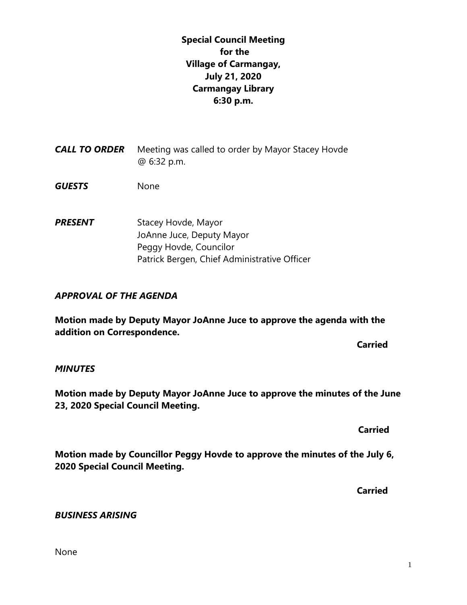# **Special Council Meeting for the Village of Carmangay, July 21, 2020 Carmangay Library 6:30 p.m.**

- **CALL TO ORDER** Meeting was called to order by Mayor Stacey Hovde @ 6:32 p.m.
- *GUESTS* None
- **PRESENT** Stacey Hovde, Mayor JoAnne Juce, Deputy Mayor Peggy Hovde, Councilor Patrick Bergen, Chief Administrative Officer

### *APPROVAL OF THE AGENDA*

**Motion made by Deputy Mayor JoAnne Juce to approve the agenda with the addition on Correspondence.**

**Carried** 

### *MINUTES*

**Motion made by Deputy Mayor JoAnne Juce to approve the minutes of the June 23, 2020 Special Council Meeting.**

 **Carried**

**Motion made by Councillor Peggy Hovde to approve the minutes of the July 6, 2020 Special Council Meeting.**

**Carried**

### *BUSINESS ARISING*

None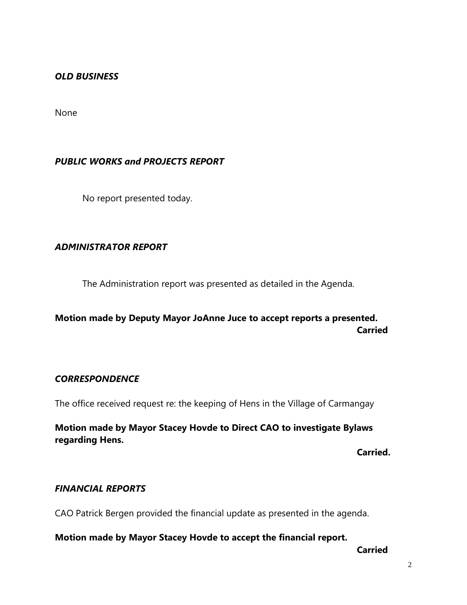### *OLD BUSINESS*

None

## *PUBLIC WORKS and PROJECTS REPORT*

No report presented today.

## *ADMINISTRATOR REPORT*

The Administration report was presented as detailed in the Agenda.

# **Motion made by Deputy Mayor JoAnne Juce to accept reports a presented. Carried**

### *CORRESPONDENCE*

The office received request re: the keeping of Hens in the Village of Carmangay

**Motion made by Mayor Stacey Hovde to Direct CAO to investigate Bylaws regarding Hens.**

**Carried.**

## *FINANCIAL REPORTS*

CAO Patrick Bergen provided the financial update as presented in the agenda.

**Motion made by Mayor Stacey Hovde to accept the financial report.**

**Carried**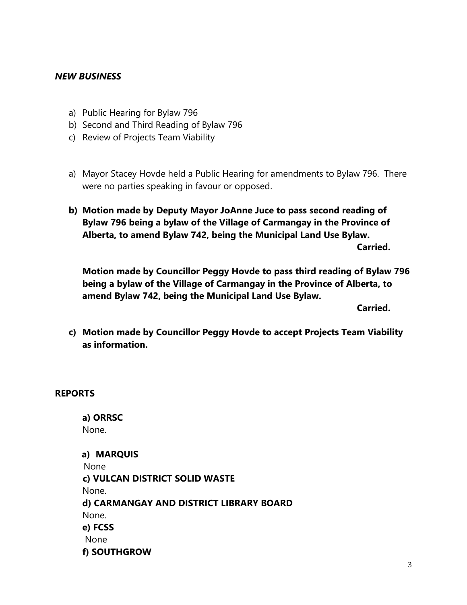### *NEW BUSINESS*

- a) Public Hearing for Bylaw 796
- b) Second and Third Reading of Bylaw 796
- c) Review of Projects Team Viability
- a) Mayor Stacey Hovde held a Public Hearing for amendments to Bylaw 796. There were no parties speaking in favour or opposed.
- **b) Motion made by Deputy Mayor JoAnne Juce to pass second reading of Bylaw 796 being a bylaw of the Village of Carmangay in the Province of Alberta, to amend Bylaw 742, being the Municipal Land Use Bylaw.**

**Carried.**

**Motion made by Councillor Peggy Hovde to pass third reading of Bylaw 796 being a bylaw of the Village of Carmangay in the Province of Alberta, to amend Bylaw 742, being the Municipal Land Use Bylaw.**

**Carried.**

**c) Motion made by Councillor Peggy Hovde to accept Projects Team Viability as information.**

#### **REPORTS**

**a) ORRSC**  None.

**a) MARQUIS**  None  **c) VULCAN DISTRICT SOLID WASTE**  None. **d) CARMANGAY AND DISTRICT LIBRARY BOARD** None. **e) FCSS**  None **f) SOUTHGROW**